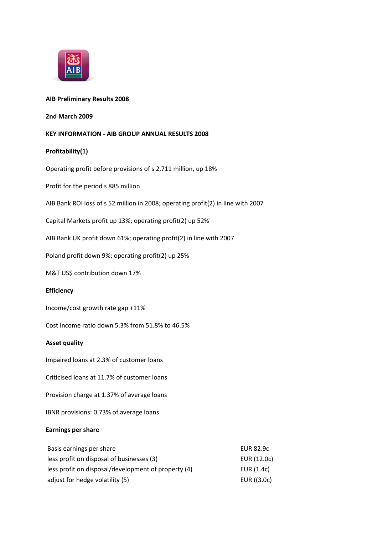

## **AIB Preliminary Results 2008**

## **2nd March 2009**

# **KEY INFORMATION - AIB GROUP ANNUAL RESULTS 2008**

### **Profitability(1)**

Operating profit before provisions of s 2,711 million, up 18%

Profit for the period s 885 million

AIB Bank ROI loss of s 52 million in 2008; operating profit(2) in line with 2007

Capital Markets profit up 13%; operating profit(2) up 52%

AIB Bank UK profit down 61%; operating profit(2) in line with 2007

Poland profit down 9%; operating profit(2) up 25%

M&T US\$ contribution down 17%

#### **Efficiency**

Income/cost growth rate gap +11%

Cost income ratio down 5.3% from 51.8% to 46.5%

#### **Asset quality**

Impaired loans at 2.3% of customer loans

Criticised loans at 11.7% of customer loans

Provision charge at 1.37% of average loans

IBNR provisions: 0.73% of average loans

# **Earnings per share**

| Basis earnings per share                            | EUR 82.9c    |
|-----------------------------------------------------|--------------|
| less profit on disposal of businesses (3)           | EUR (12.0c)  |
| less profit on disposal/development of property (4) | EUR $(1.4c)$ |
| adjust for hedge volatility (5)                     | EUR ((3.0c)  |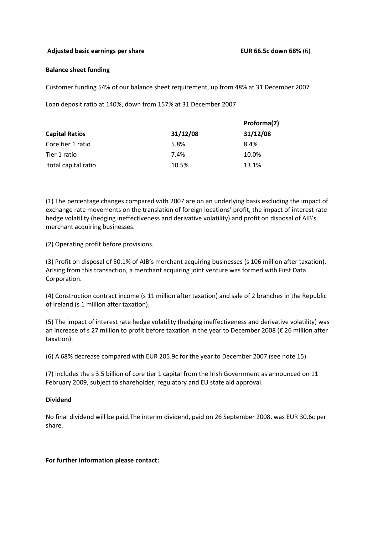# **Adjusted basic earnings per share EUR 66.5c down 68%** (6)

## **Balance sheet funding**

Customer funding 54% of our balance sheet requirement, up from 48% at 31 December 2007

Loan deposit ratio at 140%, down from 157% at 31 December 2007

| <b>Capital Ratios</b> | 31/12/08 | Proforma(7) |  |
|-----------------------|----------|-------------|--|
|                       |          | 31/12/08    |  |
| Core tier 1 ratio     | 5.8%     | 8.4%        |  |
| Tier 1 ratio          | 7.4%     | 10.0%       |  |
| total capital ratio   | 10.5%    | 13.1%       |  |

(1) The percentage changes compared with 2007 are on an underlying basis excluding the impact of exchange rate movements on the translation of foreign locations' profit, the impact of interest rate hedge volatility (hedging ineffectiveness and derivative volatility) and profit on disposal of AIB's merchant acquiring businesses.

(2) Operating profit before provisions.

(3) Profit on disposal of 50.1% of AIB's merchant acquiring businesses (s 106 million after taxation). Arising from this transaction, a merchant acquiring joint venture was formed with First Data Corporation.

(4) Construction contract income (s 11 million after taxation) and sale of 2 branches in the Republic of Ireland (s 1 million after taxation).

(5) The impact of interest rate hedge volatility (hedging ineffectiveness and derivative volatility) was an increase of s 27 million to profit before taxation in the year to December 2008 (€ 26 million after taxation).

(6) A 68% decrease compared with EUR 205.9c for the year to December 2007 (see note 15).

(7) Includes the s 3.5 billion of core tier 1 capital from the Irish Government as announced on 11 February 2009, subject to shareholder, regulatory and EU state aid approval.

# **Dividend**

No final dividend will be paid.The interim dividend, paid on 26 September 2008, was EUR 30.6c per share.

# **For further information please contact:**